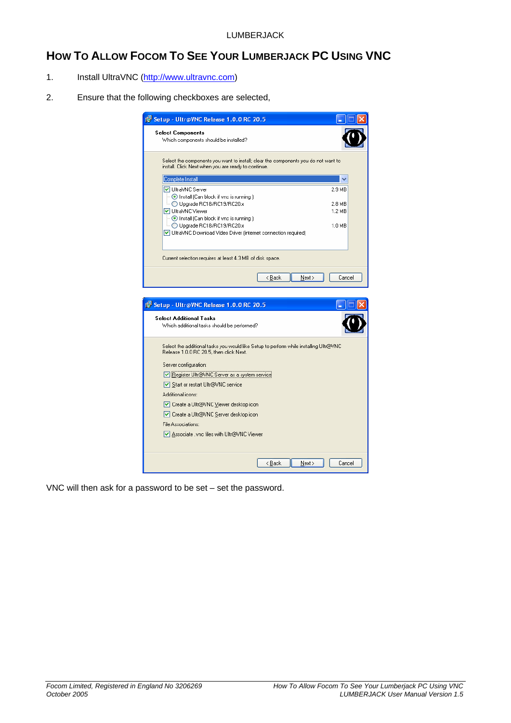## **HOW TO ALLOW FOCOM TO SEE YOUR LUMBERJACK PC USING VNC**

- 1. Install UltraVNC [\(http://www.ultravnc.com](http://www.ultravnc.com/))
- 2. Ensure that the following checkboxes are selected,

| is Setup - Ultr@VNC Release 1.0.0 RC 20.5                                                                                                 |        |
|-------------------------------------------------------------------------------------------------------------------------------------------|--------|
| <b>Select Components</b><br>Which components should be installed?                                                                         |        |
| Select the components you want to install; clear the components you do not want to<br>install. Click Next when you are ready to continue. |        |
| Complete Install                                                                                                                          |        |
| <b>▽</b> UltraVNC Server<br>$\blacksquare$ Install (Can block if vnc is running )                                                         | 2.9 MB |
| D Upgrade RC18/RC19/RC20.x                                                                                                                | 2.8 MB |
| <b>▽</b> UltraVNC Viewer                                                                                                                  | 1.2 MB |
| $\blacksquare$ Install (Can block if vnc is running )<br>i ◯ Upgrade RC18/RC19/RC20.x                                                     | 1.0 MB |
| UltraVNC Download Video Driver (internet connection required)                                                                             |        |
|                                                                                                                                           |        |
| Current selection requires at least 4.3 MB of disk space.                                                                                 |        |
| < <u>B</u> ack<br>Next                                                                                                                    | Cancel |
| is Setup - Ultr@VNC Release 1.0.0 RC 20.5                                                                                                 |        |
| <b>Select Additional Tasks</b><br>Which additional tasks should be performed?                                                             |        |
| Select the additional tasks you would like Setup to perform while installing Ultr@VNC<br>Release 1.0.0 RC 20.5, then click Next.          |        |
| Server configuration:                                                                                                                     |        |
| Register Ultr@VNC Server as a system service                                                                                              |        |
| √ Start or restart Ultr@VNC service                                                                                                       |        |
| Additional icons:                                                                                                                         |        |
| ◯ Create a Ultr@VNC Viewer desktop icon                                                                                                   |        |
| ○ Create a Ultr@VNC Server desktop icon                                                                                                   |        |
| File Associations:                                                                                                                        |        |
| Associate .vnc files with Ultr@VNC Viewer                                                                                                 |        |
|                                                                                                                                           |        |
| < <u>B</u> ack<br>Next >                                                                                                                  | Cancel |

VNC will then ask for a password to be set – set the password.